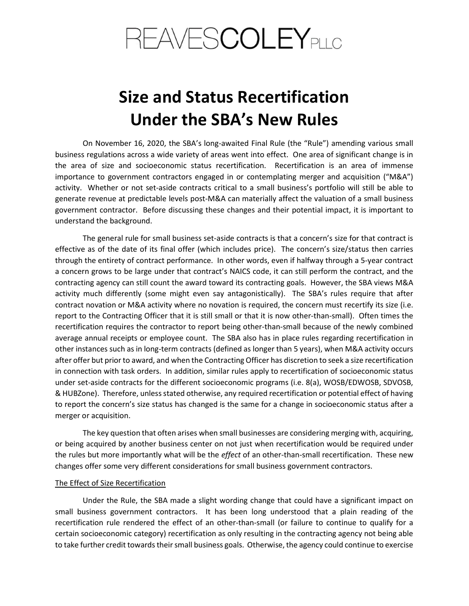# REAVES**COLEY**plic

# Size and Status Recertification Under the SBA's New Rules

 On November 16, 2020, the SBA's long-awaited Final Rule (the "Rule") amending various small business regulations across a wide variety of areas went into effect. One area of significant change is in the area of size and socioeconomic status recertification. Recertification is an area of immense importance to government contractors engaged in or contemplating merger and acquisition ("M&A") activity. Whether or not set-aside contracts critical to a small business's portfolio will still be able to generate revenue at predictable levels post-M&A can materially affect the valuation of a small business government contractor. Before discussing these changes and their potential impact, it is important to understand the background.

 The general rule for small business set-aside contracts is that a concern's size for that contract is effective as of the date of its final offer (which includes price). The concern's size/status then carries through the entirety of contract performance. In other words, even if halfway through a 5-year contract a concern grows to be large under that contract's NAICS code, it can still perform the contract, and the contracting agency can still count the award toward its contracting goals. However, the SBA views M&A activity much differently (some might even say antagonistically). The SBA's rules require that after contract novation or M&A activity where no novation is required, the concern must recertify its size (i.e. report to the Contracting Officer that it is still small or that it is now other-than-small). Often times the recertification requires the contractor to report being other-than-small because of the newly combined average annual receipts or employee count. The SBA also has in place rules regarding recertification in other instances such as in long-term contracts (defined as longer than 5 years), when M&A activity occurs after offer but prior to award, and when the Contracting Officer has discretion to seek a size recertification in connection with task orders. In addition, similar rules apply to recertification of socioeconomic status under set-aside contracts for the different socioeconomic programs (i.e. 8(a), WOSB/EDWOSB, SDVOSB, & HUBZone). Therefore, unless stated otherwise, any required recertification or potential effect of having to report the concern's size status has changed is the same for a change in socioeconomic status after a merger or acquisition.

 The key question that often arises when small businesses are considering merging with, acquiring, or being acquired by another business center on not just when recertification would be required under the rules but more importantly what will be the effect of an other-than-small recertification. These new changes offer some very different considerations for small business government contractors.

## The Effect of Size Recertification

 Under the Rule, the SBA made a slight wording change that could have a significant impact on small business government contractors. It has been long understood that a plain reading of the recertification rule rendered the effect of an other-than-small (or failure to continue to qualify for a certain socioeconomic category) recertification as only resulting in the contracting agency not being able to take further credit towards their small business goals. Otherwise, the agency could continue to exercise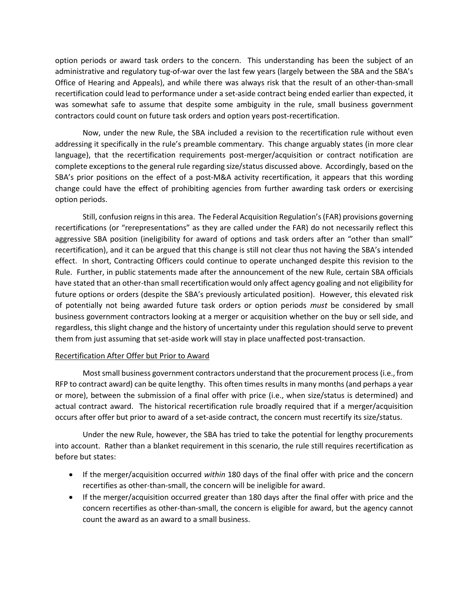option periods or award task orders to the concern. This understanding has been the subject of an administrative and regulatory tug-of-war over the last few years (largely between the SBA and the SBA's Office of Hearing and Appeals), and while there was always risk that the result of an other-than-small recertification could lead to performance under a set-aside contract being ended earlier than expected, it was somewhat safe to assume that despite some ambiguity in the rule, small business government contractors could count on future task orders and option years post-recertification.

 Now, under the new Rule, the SBA included a revision to the recertification rule without even addressing it specifically in the rule's preamble commentary. This change arguably states (in more clear language), that the recertification requirements post-merger/acquisition or contract notification are complete exceptions to the general rule regarding size/status discussed above. Accordingly, based on the SBA's prior positions on the effect of a post-M&A activity recertification, it appears that this wording change could have the effect of prohibiting agencies from further awarding task orders or exercising option periods.

 Still, confusion reigns in this area. The Federal Acquisition Regulation's (FAR) provisions governing recertifications (or "rerepresentations" as they are called under the FAR) do not necessarily reflect this aggressive SBA position (ineligibility for award of options and task orders after an "other than small" recertification), and it can be argued that this change is still not clear thus not having the SBA's intended effect. In short, Contracting Officers could continue to operate unchanged despite this revision to the Rule. Further, in public statements made after the announcement of the new Rule, certain SBA officials have stated that an other-than small recertification would only affect agency goaling and not eligibility for future options or orders (despite the SBA's previously articulated position). However, this elevated risk of potentially not being awarded future task orders or option periods must be considered by small business government contractors looking at a merger or acquisition whether on the buy or sell side, and regardless, this slight change and the history of uncertainty under this regulation should serve to prevent them from just assuming that set-aside work will stay in place unaffected post-transaction.

# Recertification After Offer but Prior to Award

 Most small business government contractors understand that the procurement process (i.e., from RFP to contract award) can be quite lengthy. This often times results in many months (and perhaps a year or more), between the submission of a final offer with price (i.e., when size/status is determined) and actual contract award. The historical recertification rule broadly required that if a merger/acquisition occurs after offer but prior to award of a set-aside contract, the concern must recertify its size/status.

 Under the new Rule, however, the SBA has tried to take the potential for lengthy procurements into account. Rather than a blanket requirement in this scenario, the rule still requires recertification as before but states:

- If the merger/acquisition occurred within 180 days of the final offer with price and the concern recertifies as other-than-small, the concern will be ineligible for award.
- If the merger/acquisition occurred greater than 180 days after the final offer with price and the concern recertifies as other-than-small, the concern is eligible for award, but the agency cannot count the award as an award to a small business.